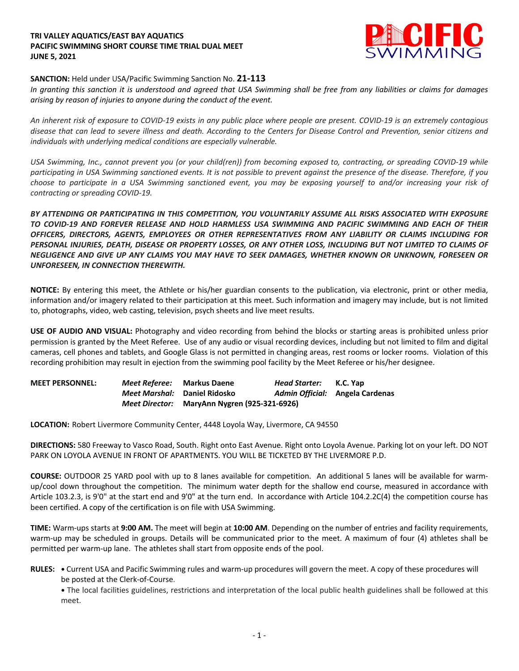## **TRI VALLEY AQUATICS/EAST BAY AQUATICS PACIFIC SWIMMING SHORT COURSE TIME TRIAL DUAL MEET JUNE 5, 2021**



## **SANCTION:** Held under USA/Pacific Swimming Sanction No. **21-113**

*In granting this sanction it is understood and agreed that USA Swimming shall be free from any liabilities or claims for damages arising by reason of injuries to anyone during the conduct of the event.*

*An inherent risk of exposure to COVID-19 exists in any public place where people are present. COVID-19 is an extremely contagious disease that can lead to severe illness and death. According to the Centers for Disease Control and Prevention, senior citizens and individuals with underlying medical conditions are especially vulnerable.*

*USA Swimming, Inc., cannot prevent you (or your child(ren)) from becoming exposed to, contracting, or spreading COVID-19 while participating in USA Swimming sanctioned events. It is not possible to prevent against the presence of the disease. Therefore, if you choose to participate in a USA Swimming sanctioned event, you may be exposing yourself to and/or increasing your risk of contracting or spreading COVID-19.*

*BY ATTENDING OR PARTICIPATING IN THIS COMPETITION, YOU VOLUNTARILY ASSUME ALL RISKS ASSOCIATED WITH EXPOSURE TO COVID-19 AND FOREVER RELEASE AND HOLD HARMLESS USA SWIMMING AND PACIFIC SWIMMING AND EACH OF THEIR OFFICERS, DIRECTORS, AGENTS, EMPLOYEES OR OTHER REPRESENTATIVES FROM ANY LIABILITY OR CLAIMS INCLUDING FOR PERSONAL INJURIES, DEATH, DISEASE OR PROPERTY LOSSES, OR ANY OTHER LOSS, INCLUDING BUT NOT LIMITED TO CLAIMS OF NEGLIGENCE AND GIVE UP ANY CLAIMS YOU MAY HAVE TO SEEK DAMAGES, WHETHER KNOWN OR UNKNOWN, FORESEEN OR UNFORESEEN, IN CONNECTION THEREWITH.*

**NOTICE:** By entering this meet, the Athlete or his/her guardian consents to the publication, via electronic, print or other media, information and/or imagery related to their participation at this meet. Such information and imagery may include, but is not limited to, photographs, video, web casting, television, psych sheets and live meet results.

**USE OF AUDIO AND VISUAL:** Photography and video recording from behind the blocks or starting areas is prohibited unless prior permission is granted by the Meet Referee. Use of any audio or visual recording devices, including but not limited to film and digital cameras, cell phones and tablets, and Google Glass is not permitted in changing areas, rest rooms or locker rooms. Violation of this recording prohibition may result in ejection from the swimming pool facility by the Meet Referee or his/her designee.

| <b>MEET PERSONNEL:</b> | <i>Meet Referee:</i> Markus Daene |                                              | Head Starter: | K.C. Yap                        |
|------------------------|-----------------------------------|----------------------------------------------|---------------|---------------------------------|
|                        | Meet Marshal: Daniel Ridosko      |                                              |               | Admin Official: Angela Cardenas |
|                        |                                   | Meet Director: MaryAnn Nygren (925-321-6926) |               |                                 |

**LOCATION:** Robert Livermore Community Center, 4448 Loyola Way, Livermore, CA 94550

**DIRECTIONS:** 580 Freeway to Vasco Road, South. Right onto East Avenue. Right onto Loyola Avenue. Parking lot on your left. DO NOT PARK ON LOYOLA AVENUE IN FRONT OF APARTMENTS. YOU WILL BE TICKETED BY THE LIVERMORE P.D.

**COURSE:** OUTDOOR 25 YARD pool with up to 8 lanes available for competition. An additional 5 lanes will be available for warmup/cool down throughout the competition. The minimum water depth for the shallow end course, measured in accordance with Article 103.2.3, is 9'0" at the start end and 9'0" at the turn end. In accordance with Article 104.2.2C(4) the competition course has been certified. A copy of the certification is on file with USA Swimming.

**TIME:** Warm-ups starts at **9:00 AM.** The meet will begin at **10:00 AM**. Depending on the number of entries and facility requirements, warm-up may be scheduled in groups. Details will be communicated prior to the meet. A maximum of four (4) athletes shall be permitted per warm-up lane. The athletes shall start from opposite ends of the pool.

**RULES: •** Current USA and Pacific Swimming rules and warm-up procedures will govern the meet. A copy of these procedures will be posted at the Clerk-of-Course.

**•** The local facilities guidelines, restrictions and interpretation of the local public health guidelines shall be followed at this meet.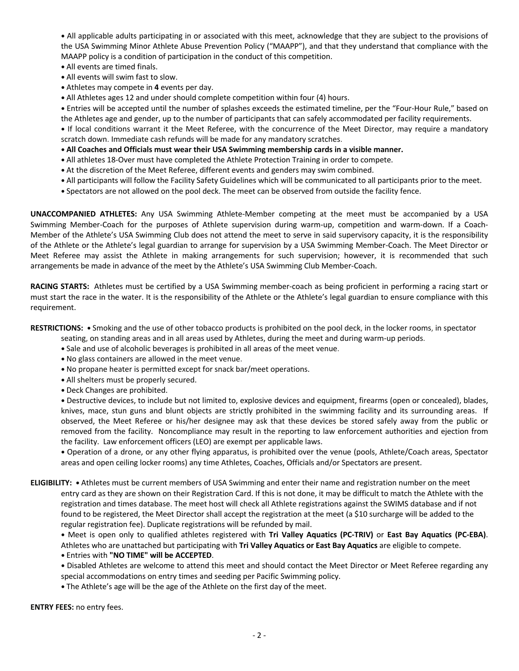**•** All applicable adults participating in or associated with this meet, acknowledge that they are subject to the provisions of the USA Swimming Minor Athlete Abuse Prevention Policy ("MAAPP"), and that they understand that compliance with the MAAPP policy is a condition of participation in the conduct of this competition.

- **•** All events are timed finals.
- **•** All events will swim fast to slow.
- **•** Athletes may compete in **4** events per day.
- **•** All Athletes ages 12 and under should complete competition within four (4) hours.

**•** Entries will be accepted until the number of splashes exceeds the estimated timeline, per the "Four-Hour Rule," based on the Athletes age and gender, up to the number of participants that can safely accommodated per facility requirements.

**•** If local conditions warrant it the Meet Referee, with the concurrence of the Meet Director, may require a mandatory scratch down. Immediate cash refunds will be made for any mandatory scratches.

- **• All Coaches and Officials must wear their USA Swimming membership cards in a visible manner.**
- **•** All athletes 18-Over must have completed the Athlete Protection Training in order to compete.
- **•** At the discretion of the Meet Referee, different events and genders may swim combined.
- **•** All participants will follow the Facility Safety Guidelines which will be communicated to all participants prior to the meet.
- **•** Spectators are not allowed on the pool deck. The meet can be observed from outside the facility fence.

**UNACCOMPANIED ATHLETES:** Any USA Swimming Athlete-Member competing at the meet must be accompanied by a USA Swimming Member-Coach for the purposes of Athlete supervision during warm-up, competition and warm-down. If a Coach-Member of the Athlete's USA Swimming Club does not attend the meet to serve in said supervisory capacity, it is the responsibility of the Athlete or the Athlete's legal guardian to arrange for supervision by a USA Swimming Member-Coach. The Meet Director or Meet Referee may assist the Athlete in making arrangements for such supervision; however, it is recommended that such arrangements be made in advance of the meet by the Athlete's USA Swimming Club Member-Coach.

**RACING STARTS:** Athletes must be certified by a USA Swimming member-coach as being proficient in performing a racing start or must start the race in the water. It is the responsibility of the Athlete or the Athlete's legal guardian to ensure compliance with this requirement.

**RESTRICTIONS: •** Smoking and the use of other tobacco products is prohibited on the pool deck, in the locker rooms, in spectator

seating, on standing areas and in all areas used by Athletes, during the meet and during warm-up periods.

- **•** Sale and use of alcoholic beverages is prohibited in all areas of the meet venue.
- **•** No glass containers are allowed in the meet venue.
- **•** No propane heater is permitted except for snack bar/meet operations.
- **•** All shelters must be properly secured.
- **•** Deck Changes are prohibited.

**•** Destructive devices, to include but not limited to, explosive devices and equipment, firearms (open or concealed), blades, knives, mace, stun guns and blunt objects are strictly prohibited in the swimming facility and its surrounding areas. If observed, the Meet Referee or his/her designee may ask that these devices be stored safely away from the public or removed from the facility. Noncompliance may result in the reporting to law enforcement authorities and ejection from the facility. Law enforcement officers (LEO) are exempt per applicable laws.

**•** Operation of a drone, or any other flying apparatus, is prohibited over the venue (pools, Athlete/Coach areas, Spectator areas and open ceiling locker rooms) any time Athletes, Coaches, Officials and/or Spectators are present.

**ELIGIBILITY: •** Athletes must be current members of USA Swimming and enter their name and registration number on the meet entry card as they are shown on their Registration Card. If this is not done, it may be difficult to match the Athlete with the registration and times database. The meet host will check all Athlete registrations against the SWIMS database and if not found to be registered, the Meet Director shall accept the registration at the meet (a \$10 surcharge will be added to the regular registration fee). Duplicate registrations will be refunded by mail.

**•** Meet is open only to qualified athletes registered with **Tri Valley Aquatics (PC-TRIV)** or **East Bay Aquatics (PC-EBA)**. Athletes who are unattached but participating with **Tri Valley Aquatics or East Bay Aquatics** are eligible to compete.

- **•** Entries with **"NO TIME" will be ACCEPTED**.
- **•** Disabled Athletes are welcome to attend this meet and should contact the Meet Director or Meet Referee regarding any special accommodations on entry times and seeding per Pacific Swimming policy.
- **•** The Athlete's age will be the age of the Athlete on the first day of the meet.

**ENTRY FEES:** no entry fees.